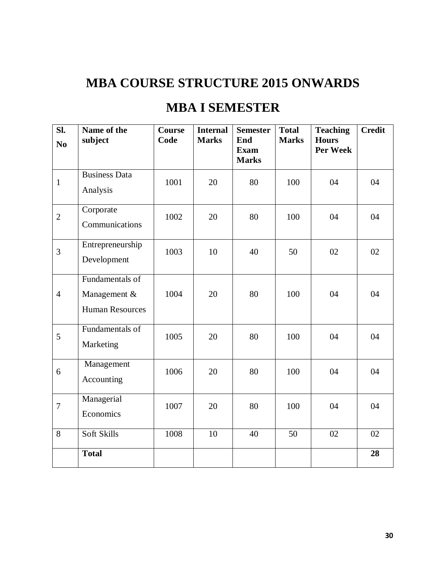# **MBA COURSE STRUCTURE 2015 ONWARDS**

# **MBA I SEMESTER**

| Sl.<br>N <sub>0</sub> | Name of the<br>subject                                    | <b>Course</b><br>Code | <b>Internal</b><br><b>Marks</b> | <b>Semester</b><br>End      | <b>Total</b><br><b>Marks</b> | <b>Teaching</b><br><b>Hours</b> | <b>Credit</b> |
|-----------------------|-----------------------------------------------------------|-----------------------|---------------------------------|-----------------------------|------------------------------|---------------------------------|---------------|
|                       |                                                           |                       |                                 | <b>Exam</b><br><b>Marks</b> |                              | Per Week                        |               |
| $\mathbf{1}$          | <b>Business Data</b><br>Analysis                          | 1001                  | 20                              | 80                          | 100                          | 04                              | 04            |
| $\overline{2}$        | Corporate<br>Communications                               | 1002                  | 20                              | 80                          | 100                          | 04                              | 04            |
| 3                     | Entrepreneurship<br>Development                           | 1003                  | 10                              | 40                          | 50                           | 02                              | 02            |
| $\overline{4}$        | Fundamentals of<br>Management &<br><b>Human Resources</b> | 1004                  | 20                              | 80                          | 100                          | 04                              | 04            |
| 5                     | Fundamentals of<br>Marketing                              | 1005                  | 20                              | 80                          | 100                          | 04                              | 04            |
| 6                     | Management<br>Accounting                                  | 1006                  | 20                              | 80                          | 100                          | 04                              | 04            |
| $\overline{7}$        | Managerial<br>Economics                                   | 1007                  | 20                              | 80                          | 100                          | 04                              | 04            |
| 8                     | Soft Skills                                               | 1008                  | 10                              | 40                          | 50                           | 02                              | 02            |
|                       | <b>Total</b>                                              |                       |                                 |                             |                              |                                 | 28            |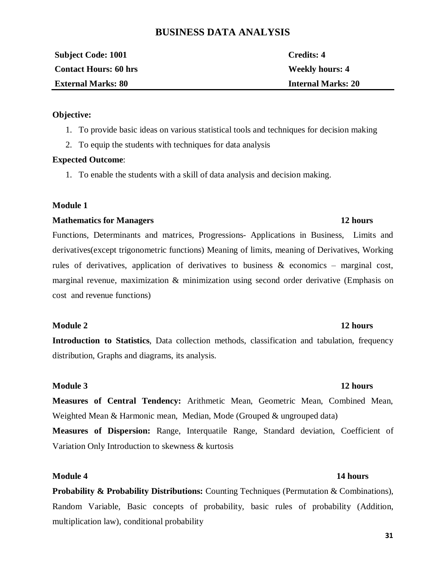## **BUSINESS DATA ANALYSIS**

| <b>Subject Code: 1001</b>    | Credits: 4                |
|------------------------------|---------------------------|
| <b>Contact Hours: 60 hrs</b> | <b>Weekly hours: 4</b>    |
| <b>External Marks: 80</b>    | <b>Internal Marks: 20</b> |
|                              |                           |

#### **Objective:**

- 1. To provide basic ideas on various statistical tools and techniques for decision making
- 2. To equip the students with techniques for data analysis

#### **Expected Outcome**:

1. To enable the students with a skill of data analysis and decision making.

### **Module 1**

#### **Mathematics for Managers 12 hours**

Functions, Determinants and matrices, Progressions- Applications in Business, Limits and derivatives(except trigonometric functions) Meaning of limits, meaning of Derivatives, Working rules of derivatives, application of derivatives to business  $\&$  economics – marginal cost, marginal revenue, maximization  $\&$  minimization using second order derivative (Emphasis on cost and revenue functions)

### **Module 2 12 hours**

**Introduction to Statistics**, Data collection methods, classification and tabulation, frequency distribution, Graphs and diagrams, its analysis.

### **Module 3 12 hours**

**Measures of Central Tendency:** Arithmetic Mean, Geometric Mean, Combined Mean, Weighted Mean & Harmonic mean, Median, Mode (Grouped & ungrouped data) **Measures of Dispersion:** Range, Interquatile Range, Standard deviation, Coefficient of Variation Only Introduction to skewness & kurtosis

## **Module 4 14 hours**

**Probability & Probability Distributions:** Counting Techniques (Permutation & Combinations), Random Variable, Basic concepts of probability, basic rules of probability (Addition, multiplication law), conditional probability

#### **31**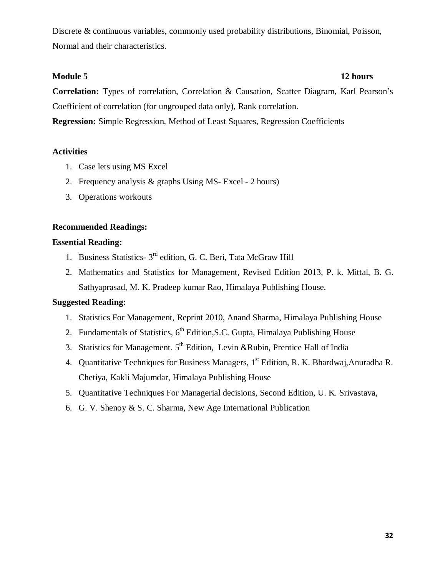Discrete & continuous variables, commonly used probability distributions, Binomial, Poisson, Normal and their characteristics.

## **Module 5 12 hours**

**Correlation:** Types of correlation, Correlation & Causation, Scatter Diagram, Karl Pearson's Coefficient of correlation (for ungrouped data only), Rank correlation. **Regression:** Simple Regression, Method of Least Squares, Regression Coefficients

## **Activities**

- 1. Case lets using MS Excel
- 2. Frequency analysis & graphs Using MS- Excel 2 hours)
- 3. Operations workouts

## **Recommended Readings:**

## **Essential Reading:**

- 1. Business Statistics- 3<sup>rd</sup> edition, G. C. Beri, Tata McGraw Hill
- 2. Mathematics and Statistics for Management, Revised Edition 2013, P. k. Mittal, B. G. Sathyaprasad, M. K. Pradeep kumar Rao, Himalaya Publishing House.

## **Suggested Reading:**

- 1. Statistics For Management, Reprint 2010, Anand Sharma, Himalaya Publishing House
- 2. Fundamentals of Statistics,  $6<sup>th</sup>$  Edition, S.C. Gupta, Himalaya Publishing House
- 3. Statistics for Management.  $5<sup>th</sup>$  Edition, Levin &Rubin, Prentice Hall of India
- 4. Quantitative Techniques for Business Managers, 1<sup>st</sup> Edition, R. K. Bhardwaj, Anuradha R. Chetiya, Kakli Majumdar, Himalaya Publishing House
- 5. Quantitative Techniques For Managerial decisions, Second Edition, U. K. Srivastava,
- 6. G. V. Shenoy & S. C. Sharma, New Age International Publication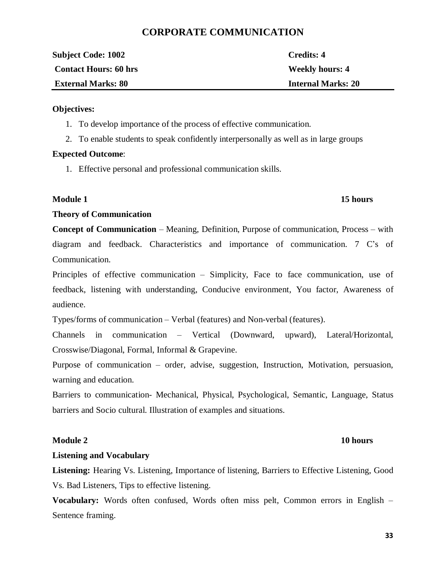## **CORPORATE COMMUNICATION**

| <b>Subject Code: 1002</b>    | Credits: 4                |
|------------------------------|---------------------------|
| <b>Contact Hours: 60 hrs</b> | <b>Weekly hours: 4</b>    |
| <b>External Marks: 80</b>    | <b>Internal Marks: 20</b> |

#### **Objectives:**

- 1. To develop importance of the process of effective communication.
- 2. To enable students to speak confidently interpersonally as well as in large groups

### **Expected Outcome**:

1. Effective personal and professional communication skills.

## **Module 1** 15 hours

### **Theory of Communication**

**Concept of Communication** – Meaning, Definition, Purpose of communication, Process – with diagram and feedback. Characteristics and importance of communication. 7 C's of Communication.

Principles of effective communication – Simplicity, Face to face communication, use of feedback, listening with understanding, Conducive environment, You factor, Awareness of audience.

Types/forms of communication – Verbal (features) and Non-verbal (features).

Channels in communication – Vertical (Downward, upward), Lateral/Horizontal, Crosswise/Diagonal, Formal, Informal & Grapevine.

Purpose of communication – order, advise, suggestion, Instruction, Motivation, persuasion, warning and education.

Barriers to communication- Mechanical, Physical, Psychological, Semantic, Language, Status barriers and Socio cultural. Illustration of examples and situations.

## **Module 2** 10 hours

## **Listening and Vocabulary**

Listening: Hearing Vs. Listening, Importance of listening, Barriers to Effective Listening, Good Vs. Bad Listeners, Tips to effective listening.

**Vocabulary:** Words often confused, Words often miss pelt, Common errors in English – Sentence framing.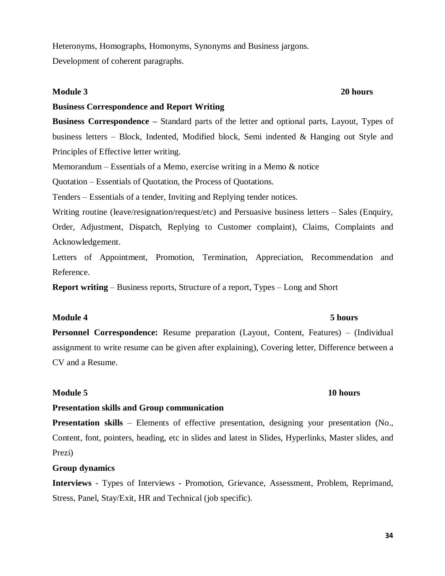Heteronyms, Homographs, Homonyms, Synonyms and Business jargons.

Development of coherent paragraphs.

### **Module 3 20 hours**

## **Business Correspondence and Report Writing**

**Business Correspondence –** Standard parts of the letter and optional parts, Layout, Types of business letters – Block, Indented, Modified block, Semi indented & Hanging out Style and Principles of Effective letter writing.

Memorandum – Essentials of a Memo, exercise writing in a Memo  $\&$  notice

Quotation – Essentials of Quotation, the Process of Quotations.

Tenders – Essentials of a tender, Inviting and Replying tender notices.

Writing routine (leave/resignation/request/etc) and Persuasive business letters – Sales (Enquiry, Order, Adjustment, Dispatch, Replying to Customer complaint), Claims, Complaints and Acknowledgement.

Letters of Appointment, Promotion, Termination, Appreciation, Recommendation and Reference.

**Report writing** – Business reports, Structure of a report, Types – Long and Short

## **Module 4 5 hours**

**Personnel Correspondence:** Resume preparation (Layout, Content, Features) – (Individual assignment to write resume can be given after explaining), Covering letter, Difference between a CV and a Resume.

## **Module 5** 10 hours

## **Presentation skills and Group communication**

**Presentation skills** – Elements of effective presentation, designing your presentation (No., Content, font, pointers, heading, etc in slides and latest in Slides, Hyperlinks, Master slides, and Prezi)

## **Group dynamics**

**Interviews** - Types of Interviews - Promotion, Grievance, Assessment, Problem, Reprimand, Stress, Panel, Stay/Exit, HR and Technical (job specific).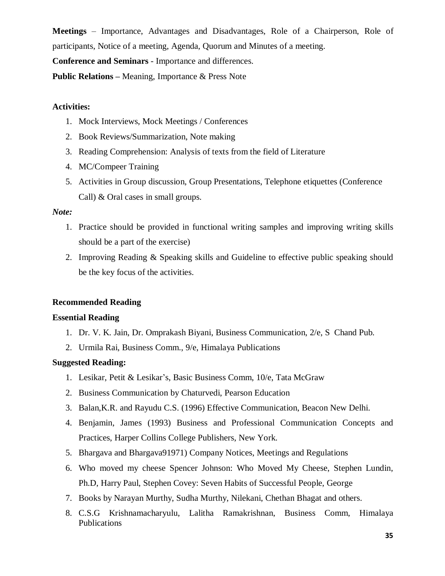**Meetings** – Importance, Advantages and Disadvantages, Role of a Chairperson, Role of participants, Notice of a meeting, Agenda, Quorum and Minutes of a meeting.

**Conference and Seminars** - Importance and differences.

**Public Relations –** Meaning, Importance & Press Note

### **Activities:**

- 1. Mock Interviews, Mock Meetings / Conferences
- 2. Book Reviews/Summarization, Note making
- 3. Reading Comprehension: Analysis of texts from the field of Literature
- 4. MC/Compeer Training
- 5. Activities in Group discussion, Group Presentations, Telephone etiquettes (Conference Call) & Oral cases in small groups.

### *Note:*

- 1. Practice should be provided in functional writing samples and improving writing skills should be a part of the exercise)
- 2. Improving Reading & Speaking skills and Guideline to effective public speaking should be the key focus of the activities.

## **Recommended Reading**

### **Essential Reading**

- 1. Dr. V. K. Jain, Dr. Omprakash Biyani, Business Communication, 2/e, S Chand Pub.
- 2. Urmila Rai, Business Comm., 9/e, Himalaya Publications

### **Suggested Reading:**

- 1. Lesikar, Petit & Lesikar's, Basic Business Comm, 10/e, Tata McGraw
- 2. Business Communication by Chaturvedi, Pearson Education
- 3. Balan,K.R. and Rayudu C.S. (1996) Effective Communication, Beacon New Delhi.
- 4. Benjamin, James (1993) Business and Professional Communication Concepts and Practices, Harper Collins College Publishers, New York.
- 5. Bhargava and Bhargava91971) Company Notices, Meetings and Regulations
- 6. Who moved my cheese Spencer Johnson: Who Moved My Cheese, Stephen Lundin, Ph.D, Harry Paul, Stephen Covey: Seven Habits of Successful People, George
- 7. Books by Narayan Murthy, Sudha Murthy, Nilekani, Chethan Bhagat and others.
- 8. C.S.G Krishnamacharyulu, Lalitha Ramakrishnan, Business Comm, Himalaya Publications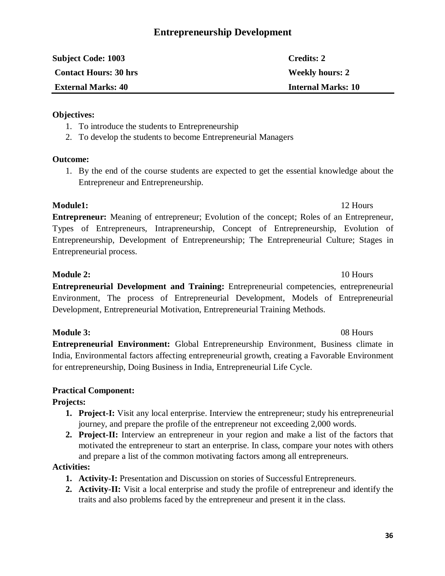## **Entrepreneurship Development**

| <b>Subject Code: 1003</b>    | Credits: 2                |
|------------------------------|---------------------------|
| <b>Contact Hours: 30 hrs</b> | <b>Weekly hours: 2</b>    |
| <b>External Marks: 40</b>    | <b>Internal Marks: 10</b> |

### **Objectives:**

- 1. To introduce the students to Entrepreneurship
- 2. To develop the students to become Entrepreneurial Managers

### **Outcome:**

1. By the end of the course students are expected to get the essential knowledge about the Entrepreneur and Entrepreneurship.

## **Module1:** 12 Hours

**Entrepreneur:** Meaning of entrepreneur; Evolution of the concept; Roles of an Entrepreneur, Types of Entrepreneurs, Intrapreneurship, Concept of Entrepreneurship, Evolution of Entrepreneurship, Development of Entrepreneurship; The Entrepreneurial Culture; Stages in Entrepreneurial process.

**Module 2:** 10 Hours

**Entrepreneurial Development and Training:** Entrepreneurial competencies, entrepreneurial Environment, The process of Entrepreneurial Development, Models of Entrepreneurial Development, Entrepreneurial Motivation, Entrepreneurial Training Methods.

## **Module 3:** 08 Hours

**Entrepreneurial Environment:** Global Entrepreneurship Environment, Business climate in India, Environmental factors affecting entrepreneurial growth, creating a Favorable Environment for entrepreneurship, Doing Business in India, Entrepreneurial Life Cycle.

## **Practical Component:**

## **Projects:**

- **1. Project-I:** Visit any local enterprise. Interview the entrepreneur; study his entrepreneurial journey, and prepare the profile of the entrepreneur not exceeding 2,000 words.
- **2. Project-II:** Interview an entrepreneur in your region and make a list of the factors that motivated the entrepreneur to start an enterprise. In class, compare your notes with others and prepare a list of the common motivating factors among all entrepreneurs.

## **Activities:**

- **1. Activity-I:** Presentation and Discussion on stories of Successful Entrepreneurs.
- **2. Activity-II:** Visit a local enterprise and study the profile of entrepreneur and identify the traits and also problems faced by the entrepreneur and present it in the class.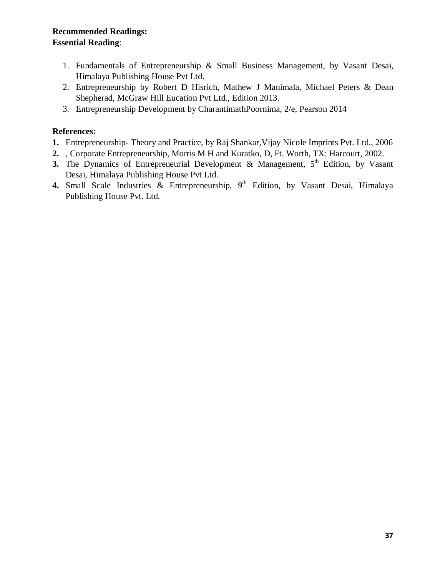## **Recommended Readings: Essential Reading**:

- 1. Fundamentals of Entrepreneurship & Small Business Management, by Vasant Desai, Himalaya Publishing House Pvt Ltd.
- 2. Entrepreneurship by Robert D Hisrich, Mathew J Manimala, Michael Peters & Dean Shepherad, McGraw Hill Eucation Pvt Ltd., Edition 2013.
- 3. Entrepreneurship Development by CharantimathPoornima, 2/e, Pearson 2014

## **References:**

- **1.** Entrepreneurship- Theory and Practice, by Raj Shankar,Vijay Nicole Imprints Pvt. Ltd., 2006
- **2.** , Corporate Entrepreneurship, Morris M H and Kuratko, D, Ft. Worth, TX: Harcourt, 2002.
- **3.** The Dynamics of Entrepreneurial Development & Management,  $5<sup>th</sup>$  Edition, by Vasant Desai, Himalaya Publishing House Pvt Ltd.
- 4. Small Scale Industries & Entrepreneurship, 9<sup>th</sup> Edition, by Vasant Desai, Himalaya Publishing House Pvt. Ltd.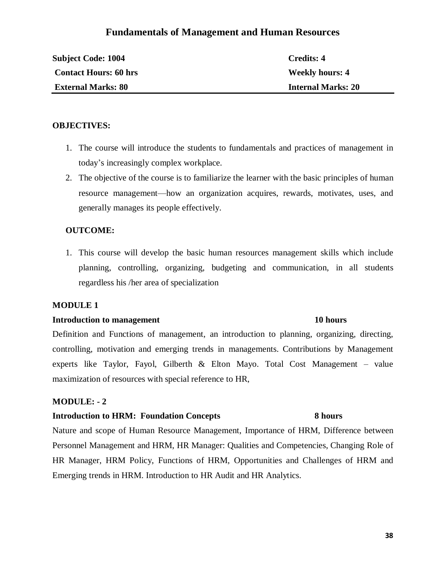## **Fundamentals of Management and Human Resources**

| <b>Subject Code: 1004</b>    | Credits: 4                |
|------------------------------|---------------------------|
| <b>Contact Hours: 60 hrs</b> | <b>Weekly hours: 4</b>    |
| <b>External Marks: 80</b>    | <b>Internal Marks: 20</b> |

### **OBJECTIVES:**

- 1. The course will introduce the students to fundamentals and practices of management in today's increasingly complex workplace.
- 2. The objective of the course is to familiarize the learner with the basic principles of human resource management—how an organization acquires, rewards, motivates, uses, and generally manages its people effectively.

#### **OUTCOME:**

1. This course will develop the basic human resources management skills which include planning, controlling, organizing, budgeting and communication, in all students regardless his /her area of specialization

#### **MODULE 1**

#### **Introduction to management 10 hours**

# Definition and Functions of management, an introduction to planning, organizing, directing, controlling, motivation and emerging trends in managements. Contributions by Management experts like Taylor, Fayol, Gilberth & Elton Mayo. Total Cost Management – value maximization of resources with special reference to HR,

### **MODULE: - 2**

#### **Introduction to HRM: Foundation Concepts 8 hours**

Nature and scope of Human Resource Management, Importance of HRM, Difference between Personnel Management and HRM, HR Manager: Qualities and Competencies, Changing Role of HR Manager, HRM Policy, Functions of HRM, Opportunities and Challenges of HRM and Emerging trends in HRM. Introduction to HR Audit and HR Analytics.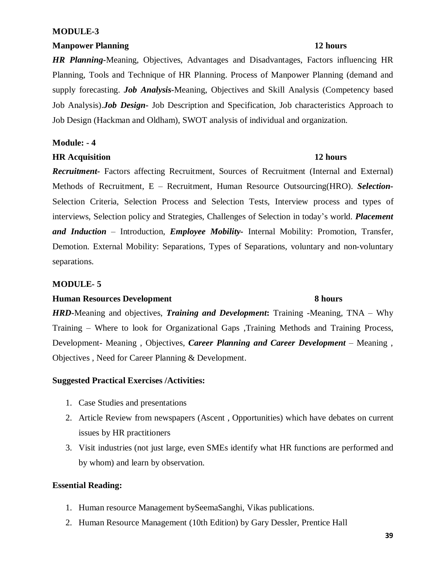#### **MODULE-3**

#### **Manpower Planning 12 hours**

*HR Planning-*Meaning, Objectives, Advantages and Disadvantages, Factors influencing HR Planning, Tools and Technique of HR Planning. Process of Manpower Planning (demand and supply forecasting. *Job Analysis***-**Meaning, Objectives and Skill Analysis (Competency based Job Analysis).*Job Design***-** Job Description and Specification, Job characteristics Approach to Job Design (Hackman and Oldham), SWOT analysis of individual and organization.

#### **Module: - 4**

## **HR Acquisition 12 hours**

*Recruitment-* Factors affecting Recruitment, Sources of Recruitment (Internal and External) Methods of Recruitment, E – Recruitment, Human Resource Outsourcing(HRO). *Selection-*Selection Criteria, Selection Process and Selection Tests, Interview process and types of interviews, Selection policy and Strategies, Challenges of Selection in today's world. *Placement and Induction* – Introduction, *Employee Mobility-* Internal Mobility: Promotion, Transfer, Demotion. External Mobility: Separations, Types of Separations, voluntary and non-voluntary separations.

### **MODULE- 5**

#### **Human Resources Development 8 hours**

# *HRD***-**Meaning and objectives, *Training and Development***:** Training -Meaning, TNA – Why Training – Where to look for Organizational Gaps ,Training Methods and Training Process, Development- Meaning , Objectives, *Career Planning and Career Development* – Meaning , Objectives , Need for Career Planning & Development.

## **Suggested Practical Exercises /Activities:**

- 1. Case Studies and presentations
- 2. Article Review from newspapers (Ascent , Opportunities) which have debates on current issues by HR practitioners
- 3. Visit industries (not just large, even SMEs identify what HR functions are performed and by whom) and learn by observation.

## **Essential Reading:**

- 1. Human resource Management bySeemaSanghi, Vikas publications.
- 2. Human Resource Management (10th Edition) by Gary Dessler, Prentice Hall

#### **39**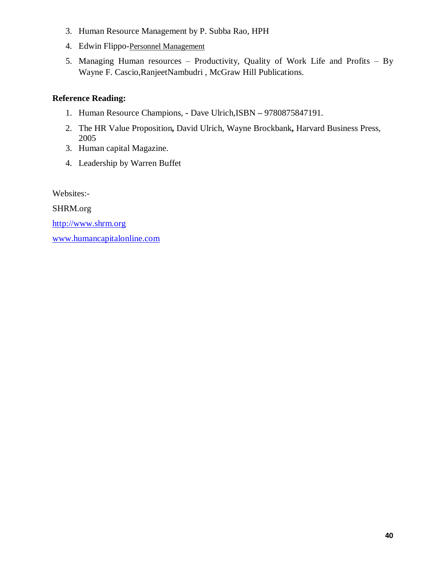- 3. Human Resource Management by P. Subba Rao, HPH
- 4. Edwin Flippo-Personnel Management
- 5. Managing Human resources Productivity, Quality of Work Life and Profits By Wayne F. Cascio,RanjeetNambudri , McGraw Hill Publications.

## **Reference Reading:**

- 1. Human Resource Champions, **-** Dave Ulrich,ISBN **–** 9780875847191.
- 2. The HR Value Proposition**,** David Ulrich, Wayne Brockbank**,** Harvard Business Press, 2005
- 3. Human capital Magazine.
- 4. Leadership by Warren Buffet

Websites:-

SHRM.org

http://www.shrm.org

www.humancapitalonline.com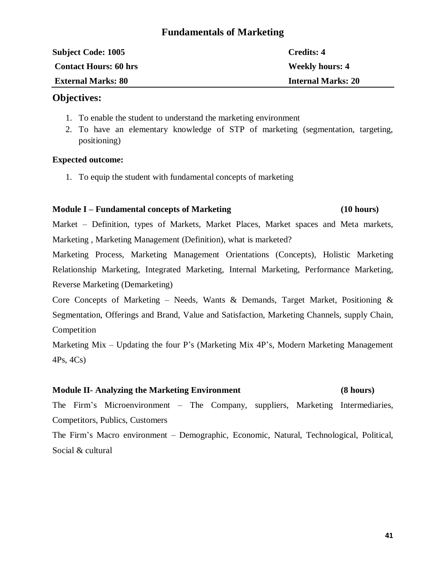## **Fundamentals of Marketing**

| <b>Subject Code: 1005</b>    | Credits: 4                |
|------------------------------|---------------------------|
| <b>Contact Hours: 60 hrs</b> | <b>Weekly hours: 4</b>    |
| <b>External Marks: 80</b>    | <b>Internal Marks: 20</b> |

## **Objectives:**

- 1. To enable the student to understand the marketing environment
- 2. To have an elementary knowledge of STP of marketing (segmentation, targeting, positioning)

### **Expected outcome:**

1. To equip the student with fundamental concepts of marketing

### **Module I – Fundamental concepts of Marketing (10 hours)**

Market – Definition, types of Markets, Market Places, Market spaces and Meta markets, Marketing , Marketing Management (Definition), what is marketed?

Marketing Process, Marketing Management Orientations (Concepts), Holistic Marketing Relationship Marketing, Integrated Marketing, Internal Marketing, Performance Marketing, Reverse Marketing (Demarketing)

Core Concepts of Marketing – Needs, Wants & Demands, Target Market, Positioning  $\&$ Segmentation, Offerings and Brand, Value and Satisfaction, Marketing Channels, supply Chain, Competition

Marketing Mix – Updating the four P's (Marketing Mix 4P's, Modern Marketing Management 4Ps, 4Cs)

## **Module II- Analyzing the Marketing Environment (8 hours)**

The Firm's Microenvironment – The Company, suppliers, Marketing Intermediaries, Competitors, Publics, Customers

The Firm's Macro environment – Demographic, Economic, Natural, Technological, Political, Social & cultural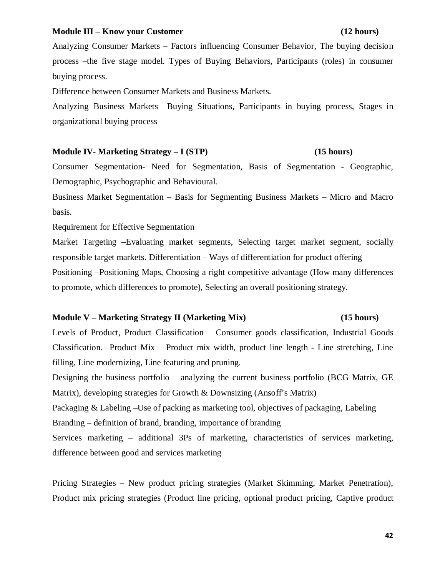#### **Module III – Know your Customer (12 hours)**

Analyzing Consumer Markets – Factors influencing Consumer Behavior, The buying decision process –the five stage model. Types of Buying Behaviors, Participants (roles) in consumer buying process.

Difference between Consumer Markets and Business Markets.

Analyzing Business Markets –Buying Situations, Participants in buying process, Stages in organizational buying process

#### **Module IV- Marketing Strategy – I (STP) (15 hours)**

Consumer Segmentation- Need for Segmentation, Basis of Segmentation - Geographic, Demographic, Psychographic and Behavioural.

Business Market Segmentation – Basis for Segmenting Business Markets – Micro and Macro basis.

Requirement for Effective Segmentation

Market Targeting –Evaluating market segments, Selecting target market segment, socially responsible target markets. Differentiation – Ways of differentiation for product offering Positioning –Positioning Maps, Choosing a right competitive advantage (How many differences to promote, which differences to promote), Selecting an overall positioning strategy.

#### **Module V – Marketing Strategy II (Marketing Mix) (15 hours)**

Levels of Product, Product Classification – Consumer goods classification, Industrial Goods Classification. Product Mix – Product mix width, product line length - Line stretching, Line filling, Line modernizing, Line featuring and pruning.

Designing the business portfolio – analyzing the current business portfolio (BCG Matrix, GE Matrix), developing strategies for Growth & Downsizing (Ansoff's Matrix)

Packaging & Labeling –Use of packing as marketing tool, objectives of packaging, Labeling

Branding – definition of brand, branding, importance of branding

Services marketing – additional 3Ps of marketing, characteristics of services marketing, difference between good and services marketing

Pricing Strategies – New product pricing strategies (Market Skimming, Market Penetration), Product mix pricing strategies (Product line pricing, optional product pricing, Captive product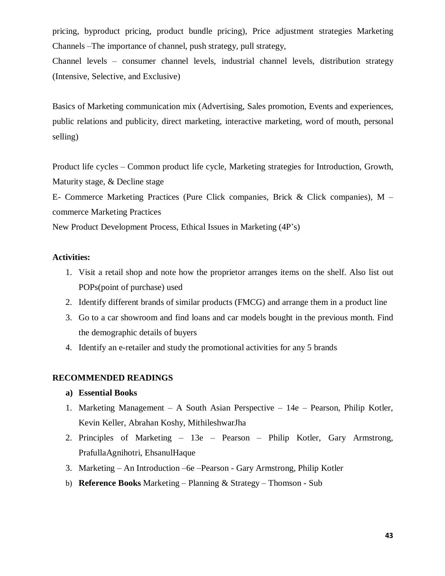pricing, byproduct pricing, product bundle pricing), Price adjustment strategies Marketing Channels –The importance of channel, push strategy, pull strategy,

Channel levels – consumer channel levels, industrial channel levels, distribution strategy (Intensive, Selective, and Exclusive)

Basics of Marketing communication mix (Advertising, Sales promotion, Events and experiences, public relations and publicity, direct marketing, interactive marketing, word of mouth, personal selling)

Product life cycles – Common product life cycle, Marketing strategies for Introduction, Growth, Maturity stage, & Decline stage

E- Commerce Marketing Practices (Pure Click companies, Brick & Click companies), M – commerce Marketing Practices

New Product Development Process, Ethical Issues in Marketing (4P's)

### **Activities:**

- 1. Visit a retail shop and note how the proprietor arranges items on the shelf. Also list out POPs(point of purchase) used
- 2. Identify different brands of similar products (FMCG) and arrange them in a product line
- 3. Go to a car showroom and find loans and car models bought in the previous month. Find the demographic details of buyers
- 4. Identify an e-retailer and study the promotional activities for any 5 brands

### **RECOMMENDED READINGS**

### **a) Essential Books**

- 1. Marketing Management A South Asian Perspective 14e Pearson, Philip Kotler, Kevin Keller, Abrahan Koshy, MithileshwarJha
- 2. Principles of Marketing 13e Pearson Philip Kotler, Gary Armstrong, PrafullaAgnihotri, EhsanulHaque
- 3. Marketing An Introduction –6e –Pearson Gary Armstrong, Philip Kotler
- b) **Reference Books** Marketing Planning & Strategy Thomson Sub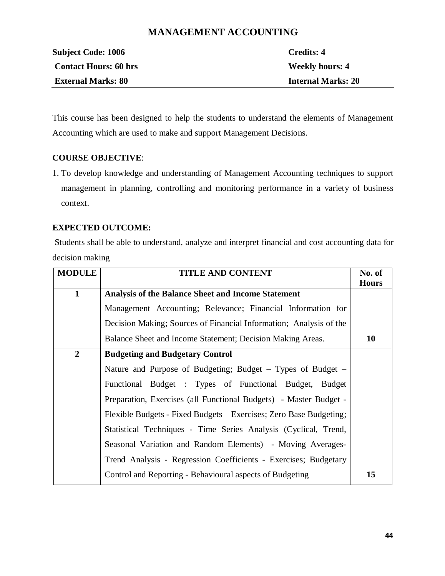## **MANAGEMENT ACCOUNTING**

| <b>Subject Code: 1006</b>    | Credits: 4                |
|------------------------------|---------------------------|
| <b>Contact Hours: 60 hrs</b> | <b>Weekly hours: 4</b>    |
| <b>External Marks: 80</b>    | <b>Internal Marks: 20</b> |

This course has been designed to help the students to understand the elements of Management Accounting which are used to make and support Management Decisions.

### **COURSE OBJECTIVE**:

1. To develop knowledge and understanding of Management Accounting techniques to support management in planning, controlling and monitoring performance in a variety of business context.

### **EXPECTED OUTCOME:**

Students shall be able to understand, analyze and interpret financial and cost accounting data for decision making

| <b>MODULE</b>  | <b>TITLE AND CONTENT</b>                                           | No. of       |
|----------------|--------------------------------------------------------------------|--------------|
|                |                                                                    | <b>Hours</b> |
| $\mathbf{1}$   | <b>Analysis of the Balance Sheet and Income Statement</b>          |              |
|                | Management Accounting; Relevance; Financial Information for        |              |
|                | Decision Making; Sources of Financial Information; Analysis of the |              |
|                | Balance Sheet and Income Statement; Decision Making Areas.         | <b>10</b>    |
| $\overline{2}$ | <b>Budgeting and Budgetary Control</b>                             |              |
|                | Nature and Purpose of Budgeting; Budget – Types of Budget –        |              |
|                | Functional Budget : Types of Functional Budget, Budget             |              |
|                | Preparation, Exercises (all Functional Budgets) - Master Budget -  |              |
|                | Flexible Budgets - Fixed Budgets – Exercises; Zero Base Budgeting; |              |
|                | Statistical Techniques - Time Series Analysis (Cyclical, Trend,    |              |
|                | Seasonal Variation and Random Elements) - Moving Averages-         |              |
|                | Trend Analysis - Regression Coefficients - Exercises; Budgetary    |              |
|                | Control and Reporting - Behavioural aspects of Budgeting           | 15           |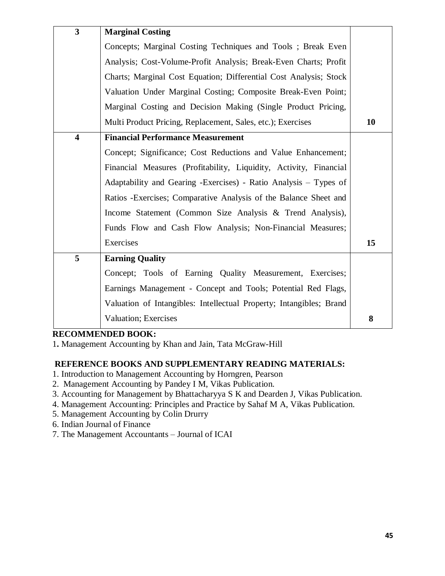| $\overline{\mathbf{3}}$ | <b>Marginal Costing</b>                                             |    |
|-------------------------|---------------------------------------------------------------------|----|
|                         | Concepts; Marginal Costing Techniques and Tools; Break Even         |    |
|                         | Analysis; Cost-Volume-Profit Analysis; Break-Even Charts; Profit    |    |
|                         | Charts; Marginal Cost Equation; Differential Cost Analysis; Stock   |    |
|                         | Valuation Under Marginal Costing; Composite Break-Even Point;       |    |
|                         | Marginal Costing and Decision Making (Single Product Pricing,       |    |
|                         | Multi Product Pricing, Replacement, Sales, etc.); Exercises         | 10 |
| $\overline{\mathbf{4}}$ | <b>Financial Performance Measurement</b>                            |    |
|                         | Concept; Significance; Cost Reductions and Value Enhancement;       |    |
|                         | Financial Measures (Profitability, Liquidity, Activity, Financial   |    |
|                         | Adaptability and Gearing -Exercises) - Ratio Analysis - Types of    |    |
|                         | Ratios - Exercises; Comparative Analysis of the Balance Sheet and   |    |
|                         | Income Statement (Common Size Analysis & Trend Analysis),           |    |
|                         | Funds Flow and Cash Flow Analysis; Non-Financial Measures;          |    |
|                         | Exercises                                                           | 15 |
| 5                       | <b>Earning Quality</b>                                              |    |
|                         | Concept; Tools of Earning Quality Measurement, Exercises;           |    |
|                         | Earnings Management - Concept and Tools; Potential Red Flags,       |    |
|                         | Valuation of Intangibles: Intellectual Property; Intangibles; Brand |    |
|                         | <b>Valuation</b> ; Exercises                                        | 8  |

## **RECOMMENDED BOOK:**

1**.** Management Accounting by Khan and Jain, Tata McGraw-Hill

## **REFERENCE BOOKS AND SUPPLEMENTARY READING MATERIALS:**

- 1. Introduction to Management Accounting by Horngren, Pearson
- 2. Management Accounting by Pandey I M, Vikas Publication.
- 3. Accounting for Management by Bhattacharyya S K and Dearden J, Vikas Publication.
- 4. Management Accounting: Principles and Practice by Sahaf M A, Vikas Publication.
- 5. Management Accounting by Colin Drurry
- 6. Indian Journal of Finance
- 7. The Management Accountants Journal of ICAI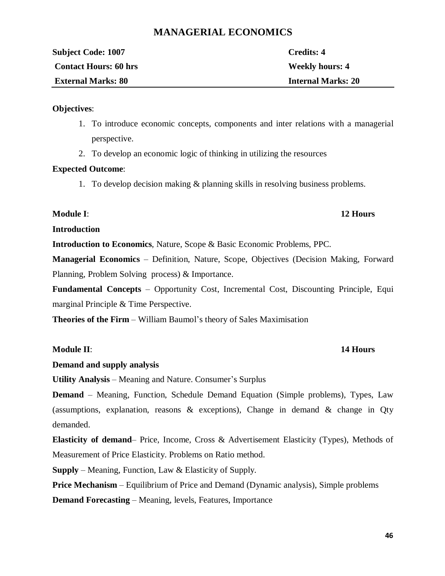## **MANAGERIAL ECONOMICS**

| <b>Subject Code: 1007</b>    | Credits: 4                |
|------------------------------|---------------------------|
| <b>Contact Hours: 60 hrs</b> | <b>Weekly hours: 4</b>    |
| <b>External Marks: 80</b>    | <b>Internal Marks: 20</b> |
|                              |                           |

### **Objectives**:

- 1. To introduce economic concepts, components and inter relations with a managerial perspective.
- 2. To develop an economic logic of thinking in utilizing the resources

#### **Expected Outcome**:

1. To develop decision making & planning skills in resolving business problems.

#### **Module I**: **12 Hours**

## **Introduction**

**Introduction to Economics**, Nature, Scope & Basic Economic Problems, PPC.

**Managerial Economics** – Definition, Nature, Scope, Objectives (Decision Making, Forward Planning, Problem Solving process) & Importance.

**Fundamental Concepts** – Opportunity Cost, Incremental Cost, Discounting Principle, Equi marginal Principle & Time Perspective.

**Theories of the Firm** – William Baumol's theory of Sales Maximisation

### **Module II**: **14 Hours**

## **Demand and supply analysis**

**Utility Analysis** – Meaning and Nature. Consumer's Surplus

**Demand** – Meaning, Function, Schedule Demand Equation (Simple problems), Types, Law (assumptions, explanation, reasons  $\&$  exceptions), Change in demand  $\&$  change in Qty demanded.

**Elasticity of demand**– Price, Income, Cross & Advertisement Elasticity (Types), Methods of Measurement of Price Elasticity. Problems on Ratio method.

**Supply** – Meaning, Function, Law & Elasticity of Supply.

**Price Mechanism** – Equilibrium of Price and Demand (Dynamic analysis), Simple problems

**Demand Forecasting** – Meaning, levels, Features, Importance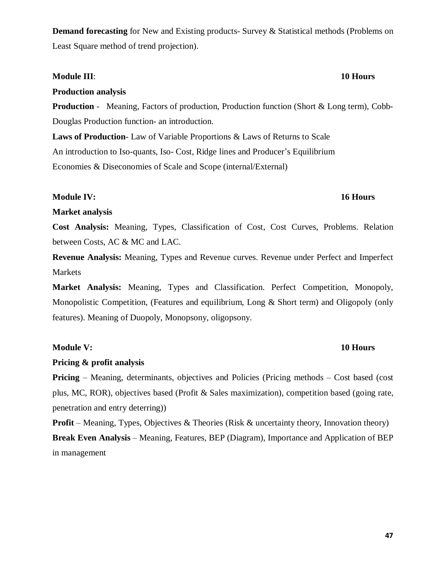**47**

# **Demand forecasting** for New and Existing products- Survey & Statistical methods (Problems on Least Square method of trend projection).

## **Module III**: **10 Hours**

## **Production analysis**

**Production** - Meaning, Factors of production, Production function (Short & Long term), Cobb-Douglas Production function- an introduction.

**Laws of Production**- Law of Variable Proportions & Laws of Returns to Scale An introduction to Iso-quants, Iso- Cost, Ridge lines and Producer's Equilibrium Economies & Diseconomies of Scale and Scope (internal/External)

## **Module IV: 16 Hours**

## **Market analysis**

**Cost Analysis:** Meaning, Types, Classification of Cost, Cost Curves, Problems. Relation between Costs, AC & MC and LAC.

**Revenue Analysis:** Meaning, Types and Revenue curves. Revenue under Perfect and Imperfect Markets

**Market Analysis:** Meaning, Types and Classification. Perfect Competition, Monopoly, Monopolistic Competition, (Features and equilibrium, Long & Short term) and Oligopoly (only features). Meaning of Duopoly, Monopsony, oligopsony.

## **Module V: 10 Hours**

## **Pricing & profit analysis**

**Pricing** – Meaning, determinants, objectives and Policies (Pricing methods – Cost based (cost) plus, MC, ROR), objectives based (Profit & Sales maximization), competition based (going rate, penetration and entry deterring))

**Profit** – Meaning, Types, Objectives & Theories (Risk & uncertainty theory, Innovation theory) **Break Even Analysis** – Meaning, Features, BEP (Diagram), Importance and Application of BEP in management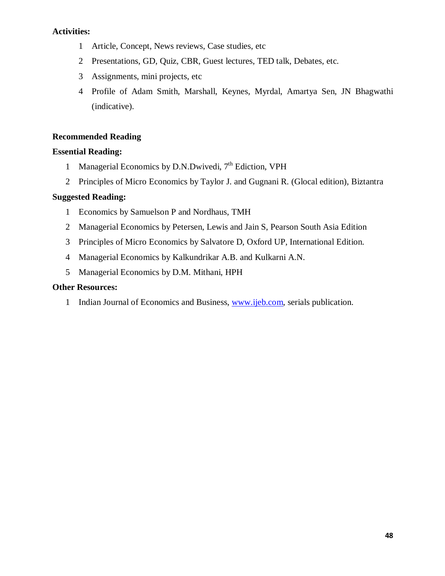## **Activities:**

- 1 Article, Concept, News reviews, Case studies, etc
- 2 Presentations, GD, Quiz, CBR, Guest lectures, TED talk, Debates, etc.
- 3 Assignments, mini projects, etc
- 4 Profile of Adam Smith, Marshall, Keynes, Myrdal, Amartya Sen, JN Bhagwathi (indicative).

## **Recommended Reading**

## **Essential Reading:**

- 1 Managerial Economics by D.N.Dwivedi, 7<sup>th</sup> Ediction, VPH
- 2 Principles of Micro Economics by Taylor J. and Gugnani R. (Glocal edition), Biztantra

## **Suggested Reading:**

- 1 Economics by Samuelson P and Nordhaus, TMH
- 2 Managerial Economics by Petersen, Lewis and Jain S, Pearson South Asia Edition
- 3 Principles of Micro Economics by Salvatore D, Oxford UP, International Edition.
- 4 Managerial Economics by Kalkundrikar A.B. and Kulkarni A.N.
- 5 Managerial Economics by D.M. Mithani, HPH

## **Other Resources:**

1 Indian Journal of Economics and Business, www.ijeb.com, serials publication.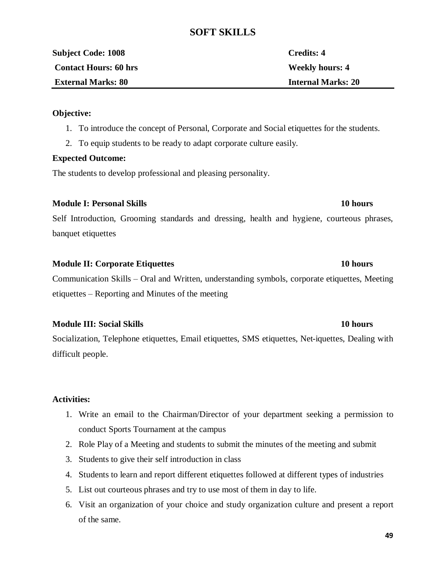## **SOFT SKILLS**

| <b>Subject Code: 1008</b>    | Credits: 4                |
|------------------------------|---------------------------|
| <b>Contact Hours: 60 hrs</b> | <b>Weekly hours: 4</b>    |
| <b>External Marks: 80</b>    | <b>Internal Marks: 20</b> |
|                              |                           |

### **Objective:**

- 1. To introduce the concept of Personal, Corporate and Social etiquettes for the students.
- 2. To equip students to be ready to adapt corporate culture easily.

### **Expected Outcome:**

The students to develop professional and pleasing personality.

### **Module I: Personal Skills 10 hours**

Self Introduction, Grooming standards and dressing, health and hygiene, courteous phrases, banquet etiquettes

### **Module II: Corporate Etiquettes 10 hours**

Communication Skills – Oral and Written, understanding symbols, corporate etiquettes, Meeting etiquettes – Reporting and Minutes of the meeting

## **Module III: Social Skills 10 hours**

Socialization, Telephone etiquettes, Email etiquettes, SMS etiquettes, Net-iquettes, Dealing with difficult people.

## **Activities:**

- 1. Write an email to the Chairman/Director of your department seeking a permission to conduct Sports Tournament at the campus
- 2. Role Play of a Meeting and students to submit the minutes of the meeting and submit
- 3. Students to give their self introduction in class
- 4. Students to learn and report different etiquettes followed at different types of industries
- 5. List out courteous phrases and try to use most of them in day to life.
- 6. Visit an organization of your choice and study organization culture and present a report of the same.